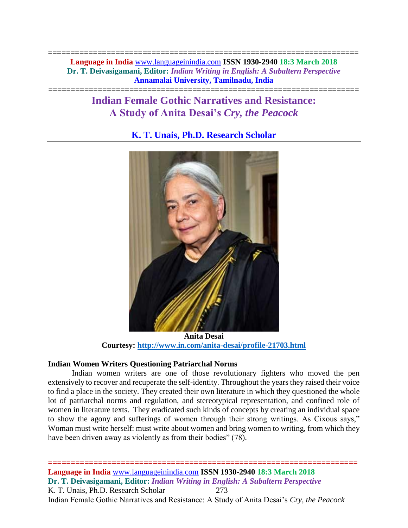===================================================================== **Language in India** [www.languageinindia.com](http://www.languageinindia.com/) **ISSN 1930-2940 18:3 March 2018 Dr. T. Deivasigamani, Editor:** *Indian Writing in English: A Subaltern Perspective* **Annamalai University, Tamilnadu, India**

# **Indian Female Gothic Narratives and Resistance: A Study of Anita Desai's** *Cry, the Peacock*

=====================================================================

## **K. T. Unais, Ph.D. Research Scholar**



**Anita Desai Courtesy:<http://www.in.com/anita-desai/profile-21703.html>**

## **Indian Women Writers Questioning Patriarchal Norms**

Indian women writers are one of those revolutionary fighters who moved the pen extensively to recover and recuperate the self-identity. Throughout the years they raised their voice to find a place in the society. They created their own literature in which they questioned the whole lot of patriarchal norms and regulation, and stereotypical representation, and confined role of women in literature texts. They eradicated such kinds of concepts by creating an individual space to show the agony and sufferings of women through their strong writings. As Cixous says," Woman must write herself: must write about women and bring women to writing, from which they have been driven away as violently as from their bodies" (78).

**==================================================================== Language in India** [www.languageinindia.com](http://www.languageinindia.com/) **ISSN 1930-2940 18:3 March 2018 Dr. T. Deivasigamani, Editor:** *Indian Writing in English: A Subaltern Perspective* K. T. Unais, Ph.D. Research Scholar 273 Indian Female Gothic Narratives and Resistance: A Study of Anita Desai's *Cry, the Peacock*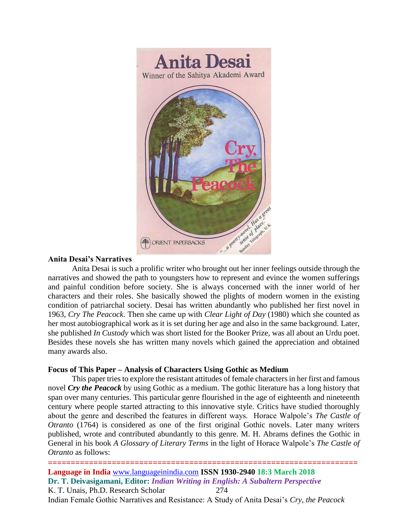

## **Anita Desai's Narratives**

Anita Desai is such a prolific writer who brought out her inner feelings outside through the narratives and showed the path to youngsters how to represent and evince the women sufferings and painful condition before society. She is always concerned with the inner world of her characters and their roles. She basically showed the plights of modern women in the existing condition of patriarchal society. Desai has written abundantly who published her first novel in 1963, *Cry The Peacock*. Then she came up with *Clear Light of Day* (1980) which she counted as her most autobiographical work as it is set during her age and also in the same background. Later, she published *In Custody* which was short listed for the Booker Prize, was all about an Urdu poet. Besides these novels she has written many novels which gained the appreciation and obtained many awards also.

## **Focus of This Paper – Analysis of Characters Using Gothic as Medium**

This paper tries to explore the resistant attitudes of female characters in her first and famous novel *Cry the Peacock* by using Gothic as a medium. The gothic literature has a long history that span over many centuries. This particular genre flourished in the age of eighteenth and nineteenth century where people started attracting to this innovative style. Critics have studied thoroughly about the genre and described the features in different ways. Horace Walpole's *The Castle of Otranto* (1764) is considered as one of the first original Gothic novels. Later many writers published, wrote and contributed abundantly to this genre. M. H. Abrams defines the Gothic in General in his book *A Glossary of Literary Terms* in the light of Horace Walpole's *The Castle of Otranto* as follows:

**==================================================================== Language in India** [www.languageinindia.com](http://www.languageinindia.com/) **ISSN 1930-2940 18:3 March 2018 Dr. T. Deivasigamani, Editor:** *Indian Writing in English: A Subaltern Perspective* K. T. Unais, Ph.D. Research Scholar 274 Indian Female Gothic Narratives and Resistance: A Study of Anita Desai's *Cry, the Peacock*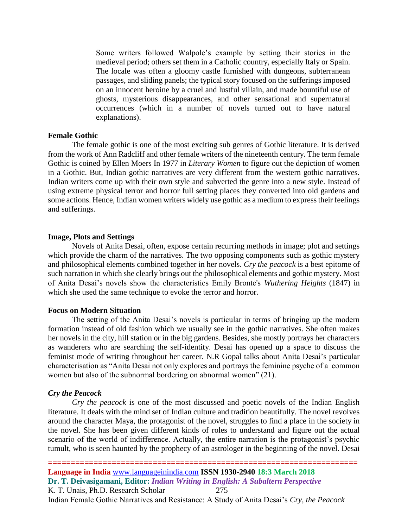Some writers followed Walpole's example by setting their stories in the medieval period; others set them in a Catholic country, especially Italy or Spain. The locale was often a gloomy castle furnished with dungeons, subterranean passages, and sliding panels; the typical story focused on the sufferings imposed on an innocent heroine by a cruel and lustful villain, and made bountiful use of ghosts, mysterious disappearances, and other sensational and supernatural occurrences (which in a number of novels turned out to have natural explanations).

#### **Female Gothic**

The female gothic is one of the most exciting sub genres of Gothic literature. It is derived from the work of Ann Radcliff and other female writers of the nineteenth century. The term female Gothic is coined by Ellen Moers In 1977 in *Literary Women* to figure out the depiction of women in a Gothic. But, Indian gothic narratives are very different from the western gothic narratives. Indian writers come up with their own style and subverted the genre into a new style. Instead of using extreme physical terror and horror full setting places they converted into old gardens and some actions. Hence, Indian women writers widely use gothic as a medium to express their feelings and sufferings.

#### **Image, Plots and Settings**

Novels of Anita Desai, often, expose certain recurring methods in image; plot and settings which provide the charm of the narratives. The two opposing components such as gothic mystery and philosophical elements combined together in her novels. *Cry the peacock* is a best epitome of such narration in which she clearly brings out the philosophical elements and gothic mystery. Most of Anita Desai's novels show the characteristics Emily Bronte's *Wuthering Heights* (1847) in which she used the same technique to evoke the terror and horror.

#### **Focus on Modern Situation**

The setting of the Anita Desai's novels is particular in terms of bringing up the modern formation instead of old fashion which we usually see in the gothic narratives. She often makes her novels in the city, hill station or in the big gardens. Besides, she mostly portrays her characters as wanderers who are searching the self-identity. Desai has opened up a space to discuss the feminist mode of writing throughout her career. N.R Gopal talks about Anita Desai's particular characterisation as "Anita Desai not only explores and portrays the feminine psyche of a common women but also of the subnormal bordering on abnormal women" (21).

#### *Cry the Peacock*

*Cry the peacock* is one of the most discussed and poetic novels of the Indian English literature. It deals with the mind set of Indian culture and tradition beautifully. The novel revolves around the character Maya, the protagonist of the novel, struggles to find a place in the society in the novel. She has been given different kinds of roles to understand and figure out the actual scenario of the world of indifference. Actually, the entire narration is the protagonist's psychic tumult, who is seen haunted by the prophecy of an astrologer in the beginning of the novel. Desai

**====================================================================**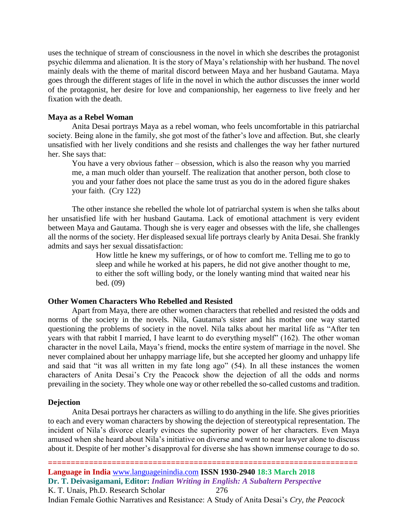uses the technique of stream of consciousness in the novel in which she describes the protagonist psychic dilemma and alienation. It is the story of Maya's relationship with her husband. The novel mainly deals with the theme of marital discord between Maya and her husband Gautama. Maya goes through the different stages of life in the novel in which the author discusses the inner world of the protagonist, her desire for love and companionship, her eagerness to live freely and her fixation with the death.

#### **Maya as a Rebel Woman**

Anita Desai portrays Maya as a rebel woman, who feels uncomfortable in this patriarchal society. Being alone in the family, she got most of the father's love and affection. But, she clearly unsatisfied with her lively conditions and she resists and challenges the way her father nurtured her. She says that:

You have a very obvious father – obsession, which is also the reason why you married me, a man much older than yourself. The realization that another person, both close to you and your father does not place the same trust as you do in the adored figure shakes your faith. (Cry 122)

The other instance she rebelled the whole lot of patriarchal system is when she talks about her unsatisfied life with her husband Gautama. Lack of emotional attachment is very evident between Maya and Gautama. Though she is very eager and obsesses with the life, she challenges all the norms of the society. Her displeased sexual life portrays clearly by Anita Desai. She frankly admits and says her sexual dissatisfaction:

> How little he knew my sufferings, or of how to comfort me. Telling me to go to sleep and while he worked at his papers, he did not give another thought to me, to either the soft willing body, or the lonely wanting mind that waited near his bed. (09)

#### **Other Women Characters Who Rebelled and Resisted**

Apart from Maya, there are other women characters that rebelled and resisted the odds and norms of the society in the novels. Nila, Gautama's sister and his mother one way started questioning the problems of society in the novel. Nila talks about her marital life as "After ten years with that rabbit I married, I have learnt to do everything myself" (162). The other woman character in the novel Laila, Maya's friend, mocks the entire system of marriage in the novel. She never complained about her unhappy marriage life, but she accepted her gloomy and unhappy life and said that "it was all written in my fate long ago" (54). In all these instances the women characters of Anita Desai's Cry the Peacock show the dejection of all the odds and norms prevailing in the society. They whole one way or other rebelled the so-called customs and tradition.

#### **Dejection**

Anita Desai portrays her characters as willing to do anything in the life. She gives priorities to each and every woman characters by showing the dejection of stereotypical representation. The incident of Nila's divorce clearly evinces the superiority power of her characters. Even Maya amused when she heard about Nila's initiative on diverse and went to near lawyer alone to discuss about it. Despite of her mother's disapproval for diverse she has shown immense courage to do so.

**==================================================================== Language in India** [www.languageinindia.com](http://www.languageinindia.com/) **ISSN 1930-2940 18:3 March 2018 Dr. T. Deivasigamani, Editor:** *Indian Writing in English: A Subaltern Perspective* K. T. Unais, Ph.D. Research Scholar 276 Indian Female Gothic Narratives and Resistance: A Study of Anita Desai's *Cry, the Peacock*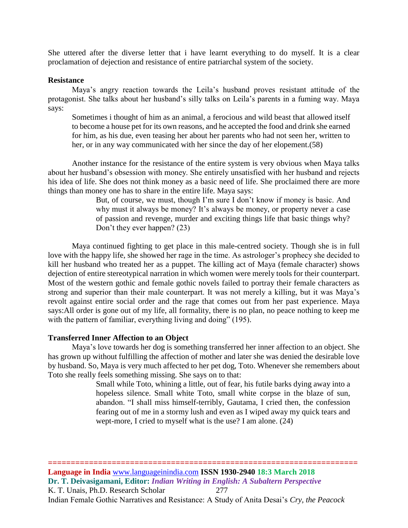She uttered after the diverse letter that i have learnt everything to do myself. It is a clear proclamation of dejection and resistance of entire patriarchal system of the society.

#### **Resistance**

Maya's angry reaction towards the Leila's husband proves resistant attitude of the protagonist. She talks about her husband's silly talks on Leila's parents in a fuming way. Maya says:

Sometimes i thought of him as an animal, a ferocious and wild beast that allowed itself to become a house pet for its own reasons, and he accepted the food and drink she earned for him, as his due, even teasing her about her parents who had not seen her, written to her, or in any way communicated with her since the day of her elopement.(58)

Another instance for the resistance of the entire system is very obvious when Maya talks about her husband's obsession with money. She entirely unsatisfied with her husband and rejects his idea of life. She does not think money as a basic need of life. She proclaimed there are more things than money one has to share in the entire life. Maya says:

> But, of course, we must, though I'm sure I don't know if money is basic. And why must it always be money? It's always be money, or property never a case of passion and revenge, murder and exciting things life that basic things why? Don't they ever happen? (23)

Maya continued fighting to get place in this male-centred society. Though she is in full love with the happy life, she showed her rage in the time. As astrologer's prophecy she decided to kill her husband who treated her as a puppet. The killing act of Maya (female character) shows dejection of entire stereotypical narration in which women were merely tools for their counterpart. Most of the western gothic and female gothic novels failed to portray their female characters as strong and superior than their male counterpart. It was not merely a killing, but it was Maya's revolt against entire social order and the rage that comes out from her past experience. Maya says:All order is gone out of my life, all formality, there is no plan, no peace nothing to keep me with the pattern of familiar, everything living and doing" (195).

#### **Transferred Inner Affection to an Object**

Maya's love towards her dog is something transferred her inner affection to an object. She has grown up without fulfilling the affection of mother and later she was denied the desirable love by husband. So, Maya is very much affected to her pet dog, Toto. Whenever she remembers about Toto she really feels something missing. She says on to that:

Small while Toto, whining a little, out of fear, his futile barks dying away into a hopeless silence. Small white Toto, small white corpse in the blaze of sun, abandon. "I shall miss himself-terribly, Gautama, I cried then, the confession fearing out of me in a stormy lush and even as I wiped away my quick tears and wept-more, I cried to myself what is the use? I am alone. (24)

**====================================================================**